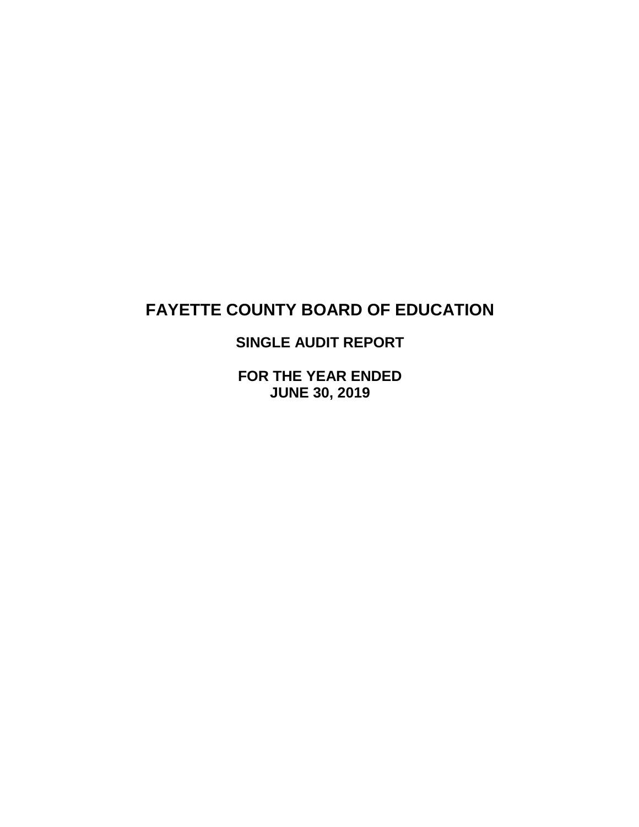# **SINGLE AUDIT REPORT**

**FOR THE YEAR ENDED JUNE 30, 2019**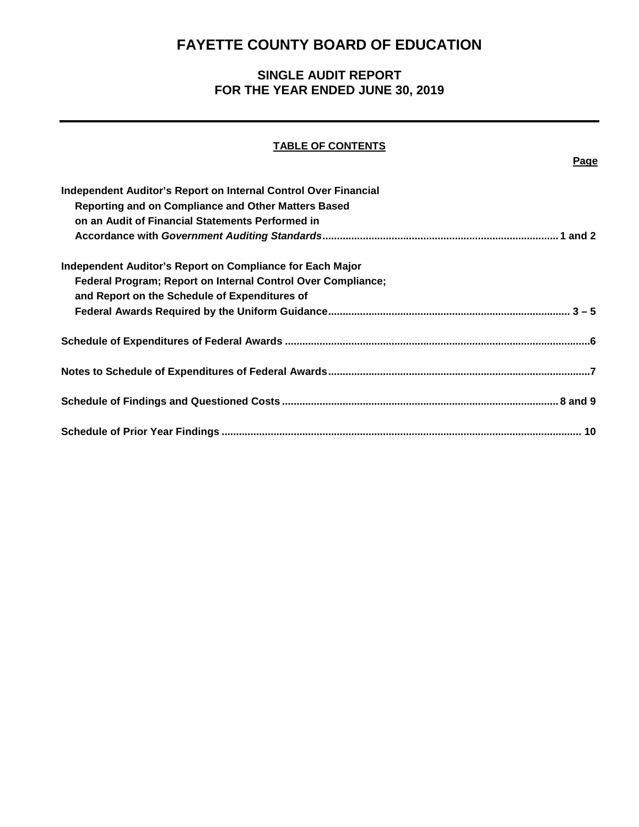## **SINGLE AUDIT REPORT FOR THE YEAR ENDED JUNE 30, 2019**

## **TABLE OF CONTENTS**

**Page**

| Independent Auditor's Report on Internal Control Over Financial |  |
|-----------------------------------------------------------------|--|
| Reporting and on Compliance and Other Matters Based             |  |
| on an Audit of Financial Statements Performed in                |  |
|                                                                 |  |
| Independent Auditor's Report on Compliance for Each Major       |  |
| Federal Program; Report on Internal Control Over Compliance;    |  |
| and Report on the Schedule of Expenditures of                   |  |
|                                                                 |  |
|                                                                 |  |
|                                                                 |  |
|                                                                 |  |
|                                                                 |  |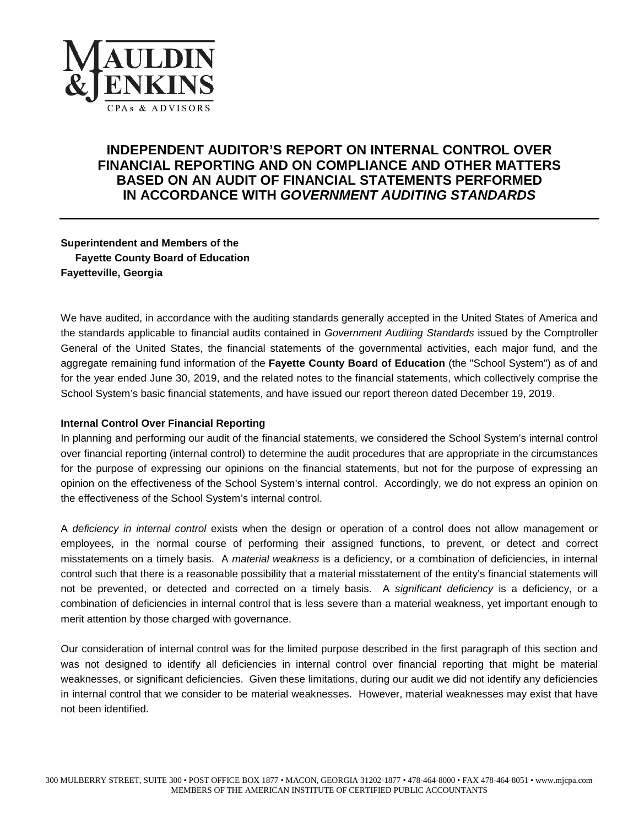

## **INDEPENDENT AUDITOR'S REPORT ON INTERNAL CONTROL OVER FINANCIAL REPORTING AND ON COMPLIANCE AND OTHER MATTERS BASED ON AN AUDIT OF FINANCIAL STATEMENTS PERFORMED IN ACCORDANCE WITH** *GOVERNMENT AUDITING STANDARDS*

**Superintendent and Members of the Fayette County Board of Education Fayetteville, Georgia**

We have audited, in accordance with the auditing standards generally accepted in the United States of America and the standards applicable to financial audits contained in *Government Auditing Standards* issued by the Comptroller General of the United States, the financial statements of the governmental activities, each major fund, and the aggregate remaining fund information of the **Fayette County Board of Education** (the "School System") as of and for the year ended June 30, 2019, and the related notes to the financial statements, which collectively comprise the School System's basic financial statements, and have issued our report thereon dated December 19, 2019.

#### **Internal Control Over Financial Reporting**

In planning and performing our audit of the financial statements, we considered the School System's internal control over financial reporting (internal control) to determine the audit procedures that are appropriate in the circumstances for the purpose of expressing our opinions on the financial statements, but not for the purpose of expressing an opinion on the effectiveness of the School System's internal control. Accordingly, we do not express an opinion on the effectiveness of the School System's internal control.

A *deficiency in internal control* exists when the design or operation of a control does not allow management or employees, in the normal course of performing their assigned functions, to prevent, or detect and correct misstatements on a timely basis. A *material weakness* is a deficiency, or a combination of deficiencies, in internal control such that there is a reasonable possibility that a material misstatement of the entity's financial statements will not be prevented, or detected and corrected on a timely basis. A *significant deficiency* is a deficiency, or a combination of deficiencies in internal control that is less severe than a material weakness, yet important enough to merit attention by those charged with governance.

Our consideration of internal control was for the limited purpose described in the first paragraph of this section and was not designed to identify all deficiencies in internal control over financial reporting that might be material weaknesses, or significant deficiencies. Given these limitations, during our audit we did not identify any deficiencies in internal control that we consider to be material weaknesses. However, material weaknesses may exist that have not been identified.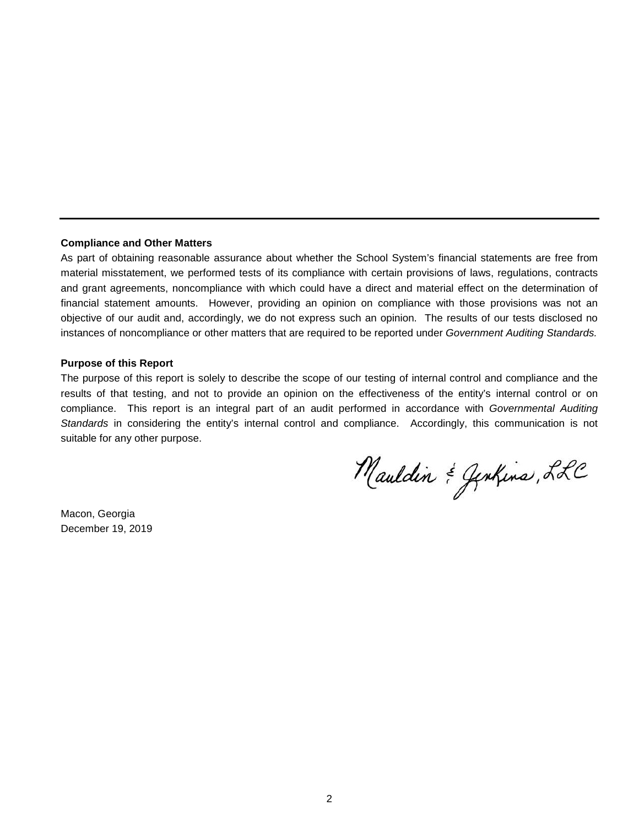#### **Compliance and Other Matters**

As part of obtaining reasonable assurance about whether the School System's financial statements are free from material misstatement, we performed tests of its compliance with certain provisions of laws, regulations, contracts and grant agreements, noncompliance with which could have a direct and material effect on the determination of financial statement amounts. However, providing an opinion on compliance with those provisions was not an objective of our audit and, accordingly, we do not express such an opinion. The results of our tests disclosed no instances of noncompliance or other matters that are required to be reported under *Government Auditing Standards.*

#### **Purpose of this Report**

The purpose of this report is solely to describe the scope of our testing of internal control and compliance and the results of that testing, and not to provide an opinion on the effectiveness of the entity's internal control or on compliance. This report is an integral part of an audit performed in accordance with *Governmental Auditing Standards* in considering the entity's internal control and compliance. Accordingly, this communication is not suitable for any other purpose.

Mauldin & Genhins, LLC

Macon, Georgia December 19, 2019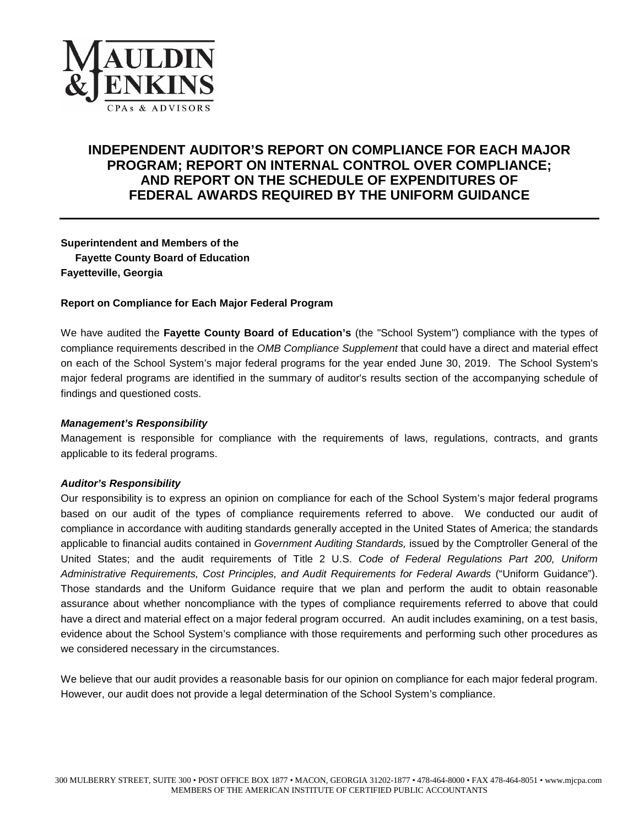

## **INDEPENDENT AUDITOR'S REPORT ON COMPLIANCE FOR EACH MAJOR PROGRAM; REPORT ON INTERNAL CONTROL OVER COMPLIANCE; AND REPORT ON THE SCHEDULE OF EXPENDITURES OF FEDERAL AWARDS REQUIRED BY THE UNIFORM GUIDANCE**

**Superintendent and Members of the Fayette County Board of Education Fayetteville, Georgia**

#### **Report on Compliance for Each Major Federal Program**

We have audited the **Fayette County Board of Education's** (the "School System") compliance with the types of compliance requirements described in the *OMB Compliance Supplement* that could have a direct and material effect on each of the School System's major federal programs for the year ended June 30, 2019. The School System's major federal programs are identified in the summary of auditor's results section of the accompanying schedule of findings and questioned costs.

#### *Management's Responsibility*

Management is responsible for compliance with the requirements of laws, regulations, contracts, and grants applicable to its federal programs.

#### *Auditor's Responsibility*

Our responsibility is to express an opinion on compliance for each of the School System's major federal programs based on our audit of the types of compliance requirements referred to above. We conducted our audit of compliance in accordance with auditing standards generally accepted in the United States of America; the standards applicable to financial audits contained in *Government Auditing Standards,* issued by the Comptroller General of the United States; and the audit requirements of Title 2 U.S. *Code of Federal Regulations Part 200, Uniform Administrative Requirements, Cost Principles, and Audit Requirements for Federal Awards* ("Uniform Guidance"). Those standards and the Uniform Guidance require that we plan and perform the audit to obtain reasonable assurance about whether noncompliance with the types of compliance requirements referred to above that could have a direct and material effect on a major federal program occurred. An audit includes examining, on a test basis, evidence about the School System's compliance with those requirements and performing such other procedures as we considered necessary in the circumstances.

We believe that our audit provides a reasonable basis for our opinion on compliance for each major federal program. However, our audit does not provide a legal determination of the School System's compliance.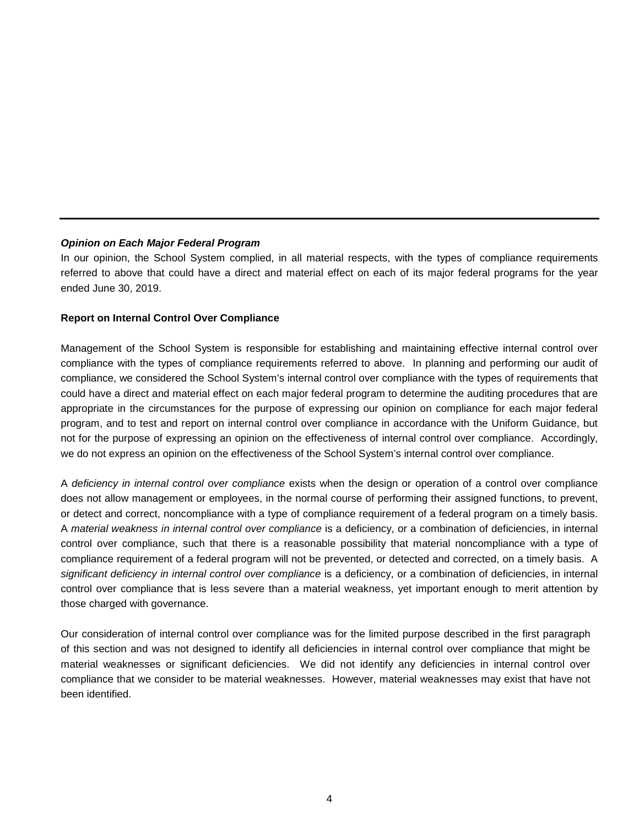#### *Opinion on Each Major Federal Program*

In our opinion, the School System complied, in all material respects, with the types of compliance requirements referred to above that could have a direct and material effect on each of its major federal programs for the year ended June 30, 2019.

#### **Report on Internal Control Over Compliance**

Management of the School System is responsible for establishing and maintaining effective internal control over compliance with the types of compliance requirements referred to above. In planning and performing our audit of compliance, we considered the School System's internal control over compliance with the types of requirements that could have a direct and material effect on each major federal program to determine the auditing procedures that are appropriate in the circumstances for the purpose of expressing our opinion on compliance for each major federal program, and to test and report on internal control over compliance in accordance with the Uniform Guidance, but not for the purpose of expressing an opinion on the effectiveness of internal control over compliance. Accordingly, we do not express an opinion on the effectiveness of the School System's internal control over compliance.

A *deficiency in internal control over compliance* exists when the design or operation of a control over compliance does not allow management or employees, in the normal course of performing their assigned functions, to prevent, or detect and correct, noncompliance with a type of compliance requirement of a federal program on a timely basis. A *material weakness in internal control over compliance* is a deficiency, or a combination of deficiencies, in internal control over compliance, such that there is a reasonable possibility that material noncompliance with a type of compliance requirement of a federal program will not be prevented, or detected and corrected, on a timely basis. A significant deficiency in internal control over compliance is a deficiency, or a combination of deficiencies, in internal control over compliance that is less severe than a material weakness, yet important enough to merit attention by those charged with governance.

Our consideration of internal control over compliance was for the limited purpose described in the first paragraph of this section and was not designed to identify all deficiencies in internal control over compliance that might be material weaknesses or significant deficiencies. We did not identify any deficiencies in internal control over compliance that we consider to be material weaknesses. However, material weaknesses may exist that have not been identified.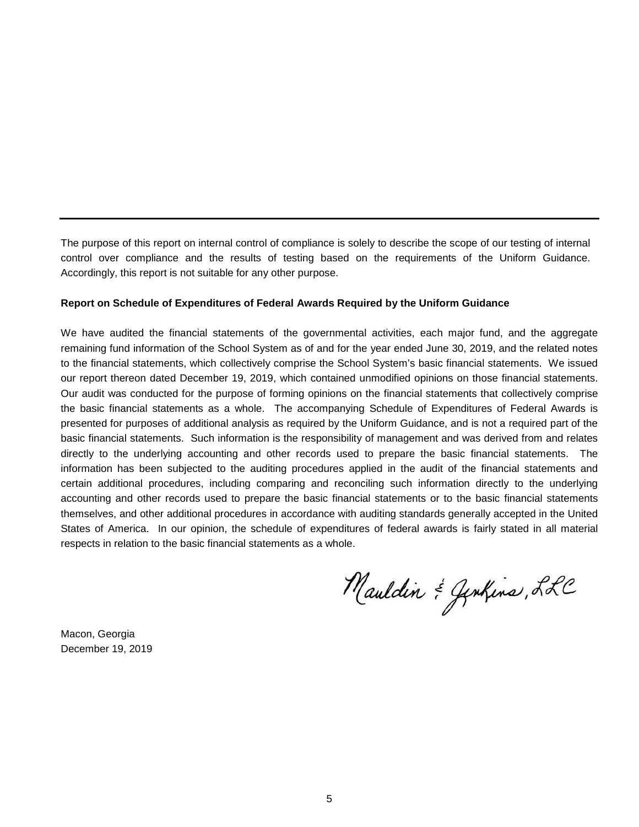The purpose of this report on internal control of compliance is solely to describe the scope of our testing of internal control over compliance and the results of testing based on the requirements of the Uniform Guidance. Accordingly, this report is not suitable for any other purpose.

#### **Report on Schedule of Expenditures of Federal Awards Required by the Uniform Guidance**

We have audited the financial statements of the governmental activities, each major fund, and the aggregate remaining fund information of the School System as of and for the year ended June 30, 2019, and the related notes to the financial statements, which collectively comprise the School System's basic financial statements. We issued our report thereon dated December 19, 2019, which contained unmodified opinions on those financial statements. Our audit was conducted for the purpose of forming opinions on the financial statements that collectively comprise the basic financial statements as a whole. The accompanying Schedule of Expenditures of Federal Awards is presented for purposes of additional analysis as required by the Uniform Guidance, and is not a required part of the basic financial statements. Such information is the responsibility of management and was derived from and relates directly to the underlying accounting and other records used to prepare the basic financial statements. The information has been subjected to the auditing procedures applied in the audit of the financial statements and certain additional procedures, including comparing and reconciling such information directly to the underlying accounting and other records used to prepare the basic financial statements or to the basic financial statements themselves, and other additional procedures in accordance with auditing standards generally accepted in the United States of America. In our opinion, the schedule of expenditures of federal awards is fairly stated in all material respects in relation to the basic financial statements as a whole.

Mauldin & Genhins, LLC

Macon, Georgia December 19, 2019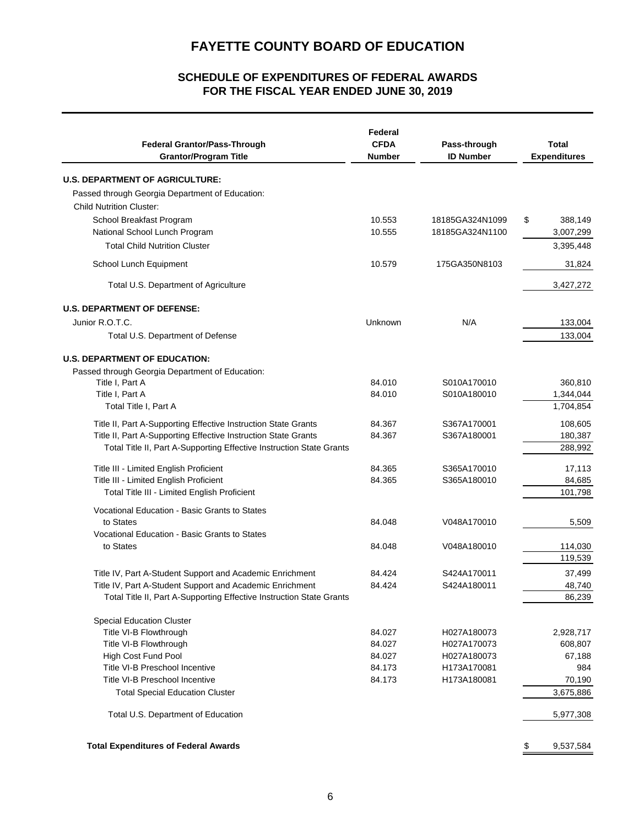## **FOR THE FISCAL YEAR ENDED JUNE 30, 2019 SCHEDULE OF EXPENDITURES OF FEDERAL AWARDS**

| <b>Federal Grantor/Pass-Through</b><br><b>Grantor/Program Title</b>  | Federal<br><b>CFDA</b><br><b>Number</b> | Pass-through<br><b>ID Number</b> | <b>Total</b><br><b>Expenditures</b> |  |
|----------------------------------------------------------------------|-----------------------------------------|----------------------------------|-------------------------------------|--|
| <b>U.S. DEPARTMENT OF AGRICULTURE:</b>                               |                                         |                                  |                                     |  |
| Passed through Georgia Department of Education:                      |                                         |                                  |                                     |  |
| <b>Child Nutrition Cluster:</b>                                      |                                         |                                  |                                     |  |
| School Breakfast Program                                             | 10.553                                  | 18185GA324N1099                  | \$<br>388,149                       |  |
| National School Lunch Program                                        | 10.555                                  | 18185GA324N1100                  | 3,007,299                           |  |
| <b>Total Child Nutrition Cluster</b>                                 |                                         |                                  | 3,395,448                           |  |
| School Lunch Equipment                                               | 10.579                                  | 175GA350N8103                    | 31,824                              |  |
|                                                                      |                                         |                                  |                                     |  |
| Total U.S. Department of Agriculture                                 |                                         |                                  | 3,427,272                           |  |
| <b>U.S. DEPARTMENT OF DEFENSE:</b>                                   |                                         |                                  |                                     |  |
| Junior R.O.T.C.                                                      | Unknown                                 | N/A                              | 133,004                             |  |
| Total U.S. Department of Defense                                     |                                         |                                  | 133,004                             |  |
| <b>U.S. DEPARTMENT OF EDUCATION:</b>                                 |                                         |                                  |                                     |  |
| Passed through Georgia Department of Education:                      |                                         |                                  |                                     |  |
| Title I, Part A                                                      | 84.010                                  | S010A170010                      | 360,810                             |  |
| Title I, Part A                                                      | 84.010                                  | S010A180010                      | 1,344,044                           |  |
| Total Title I, Part A                                                |                                         |                                  | 1,704,854                           |  |
| Title II, Part A-Supporting Effective Instruction State Grants       | 84.367                                  | S367A170001                      | 108,605                             |  |
| Title II, Part A-Supporting Effective Instruction State Grants       | 84.367                                  | S367A180001                      | 180,387                             |  |
| Total Title II, Part A-Supporting Effective Instruction State Grants |                                         |                                  | 288,992                             |  |
| Title III - Limited English Proficient                               | 84.365                                  | S365A170010                      | 17,113                              |  |
| Title III - Limited English Proficient                               | 84.365                                  | S365A180010                      | 84,685                              |  |
| Total Title III - Limited English Proficient                         |                                         |                                  | 101,798                             |  |
| Vocational Education - Basic Grants to States                        |                                         |                                  |                                     |  |
| to States                                                            | 84.048                                  | V048A170010                      | 5,509                               |  |
| Vocational Education - Basic Grants to States                        |                                         |                                  |                                     |  |
| to States                                                            | 84.048                                  | V048A180010                      | 114,030                             |  |
|                                                                      |                                         |                                  | 119,539                             |  |
| Title IV, Part A-Student Support and Academic Enrichment             | 84.424                                  | S424A170011                      | 37,499                              |  |
| Title IV, Part A-Student Support and Academic Enrichment             | 84.424                                  | S424A180011                      | 48,740                              |  |
| Total Title II, Part A-Supporting Effective Instruction State Grants |                                         |                                  | 86,239                              |  |
| <b>Special Education Cluster</b>                                     |                                         |                                  |                                     |  |
| Title VI-B Flowthrough                                               | 84.027                                  | H027A180073                      | 2,928,717                           |  |
| Title VI-B Flowthrough                                               | 84.027                                  | H027A170073                      | 608,807                             |  |
| High Cost Fund Pool                                                  | 84.027                                  | H027A180073                      | 67,188                              |  |
| Title VI-B Preschool Incentive                                       | 84.173                                  | H173A170081                      | 984                                 |  |
| Title VI-B Preschool Incentive                                       | 84.173                                  | H173A180081                      | 70,190                              |  |
| <b>Total Special Education Cluster</b>                               |                                         |                                  | 3,675,886                           |  |
| Total U.S. Department of Education                                   |                                         |                                  | 5,977,308                           |  |
| <b>Total Expenditures of Federal Awards</b>                          |                                         |                                  | \$<br>9,537,584                     |  |
|                                                                      |                                         |                                  |                                     |  |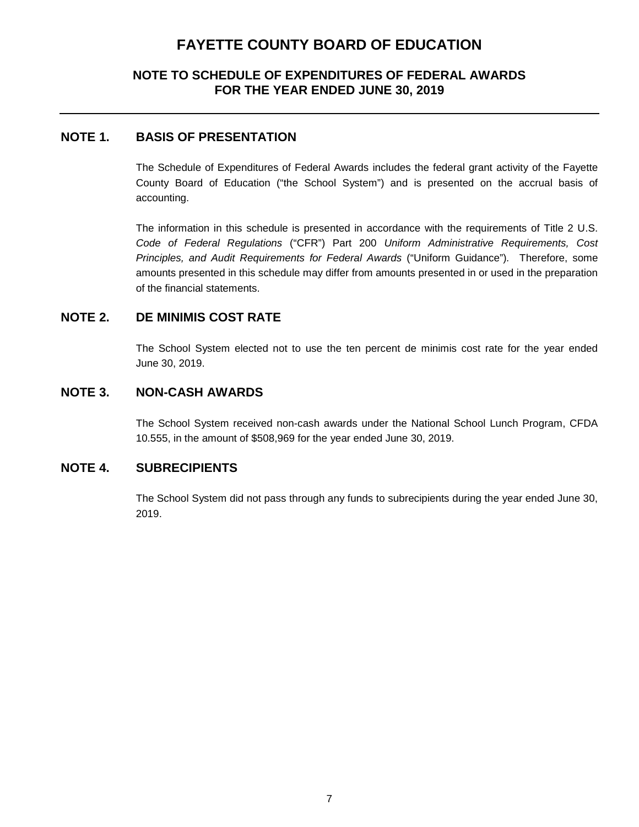## **NOTE TO SCHEDULE OF EXPENDITURES OF FEDERAL AWARDS FOR THE YEAR ENDED JUNE 30, 2019**

### **NOTE 1. BASIS OF PRESENTATION**

The Schedule of Expenditures of Federal Awards includes the federal grant activity of the Fayette County Board of Education ("the School System") and is presented on the accrual basis of accounting.

The information in this schedule is presented in accordance with the requirements of Title 2 U.S. *Code of Federal Regulations* ("CFR") Part 200 *Uniform Administrative Requirements, Cost Principles, and Audit Requirements for Federal Awards* ("Uniform Guidance")*.* Therefore, some amounts presented in this schedule may differ from amounts presented in or used in the preparation of the financial statements.

### **NOTE 2. DE MINIMIS COST RATE**

The School System elected not to use the ten percent de minimis cost rate for the year ended June 30, 2019.

### **NOTE 3. NON-CASH AWARDS**

The School System received non-cash awards under the National School Lunch Program, CFDA 10.555, in the amount of \$508,969 for the year ended June 30, 2019.

### **NOTE 4. SUBRECIPIENTS**

The School System did not pass through any funds to subrecipients during the year ended June 30, 2019.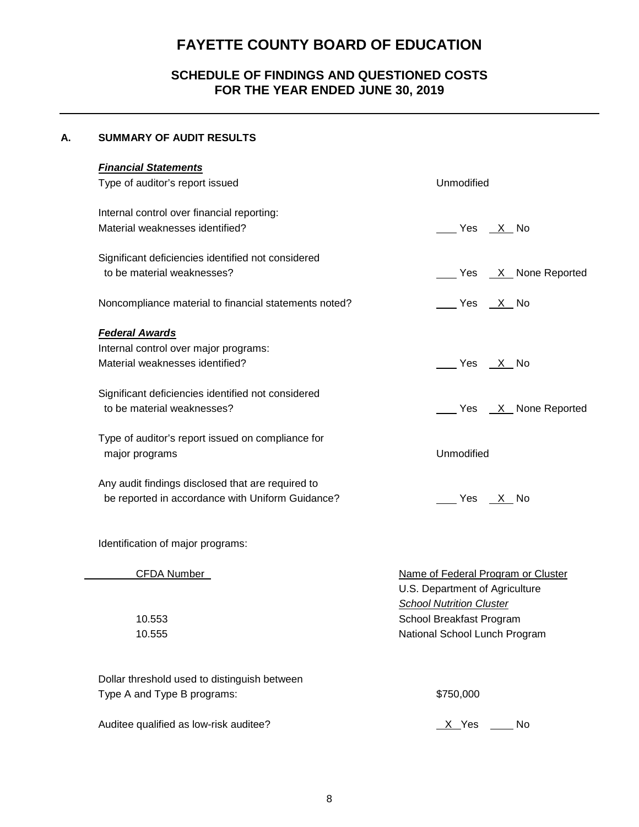## **SCHEDULE OF FINDINGS AND QUESTIONED COSTS FOR THE YEAR ENDED JUNE 30, 2019**

### **A. SUMMARY OF AUDIT RESULTS**

| <b>Financial Statements</b><br>Type of auditor's report issued                                        | Unmodified                                                          |
|-------------------------------------------------------------------------------------------------------|---------------------------------------------------------------------|
| Internal control over financial reporting:<br>Material weaknesses identified?                         | Yes X No                                                            |
| Significant deficiencies identified not considered<br>to be material weaknesses?                      | Ves X None Reported                                                 |
| Noncompliance material to financial statements noted?                                                 |                                                                     |
| <b>Federal Awards</b><br>Internal control over major programs:<br>Material weaknesses identified?     | Yes X No                                                            |
| Significant deficiencies identified not considered<br>to be material weaknesses?                      | Yes X None Reported                                                 |
| Type of auditor's report issued on compliance for<br>major programs                                   | Unmodified                                                          |
| Any audit findings disclosed that are required to<br>be reported in accordance with Uniform Guidance? | _____ Yes ___X__ No                                                 |
| Identification of major programs:                                                                     |                                                                     |
| <b>CFDA Number</b>                                                                                    | Name of Federal Program or Cluster<br>IIS Department of Agriculture |

U.S. Department of Agriculture *School Nutrition Cluster* 10.553 School Breakfast Program 10.555 National School Lunch Program

| Dollar threshold used to distinguish between |           |
|----------------------------------------------|-----------|
| Type A and Type B programs:                  | \$750,000 |

Auditee qualified as low-risk auditee?  $\overline{X}$  Yes  $\overline{X}$  No

|  |  | \$750,000 |  |
|--|--|-----------|--|
|  |  |           |  |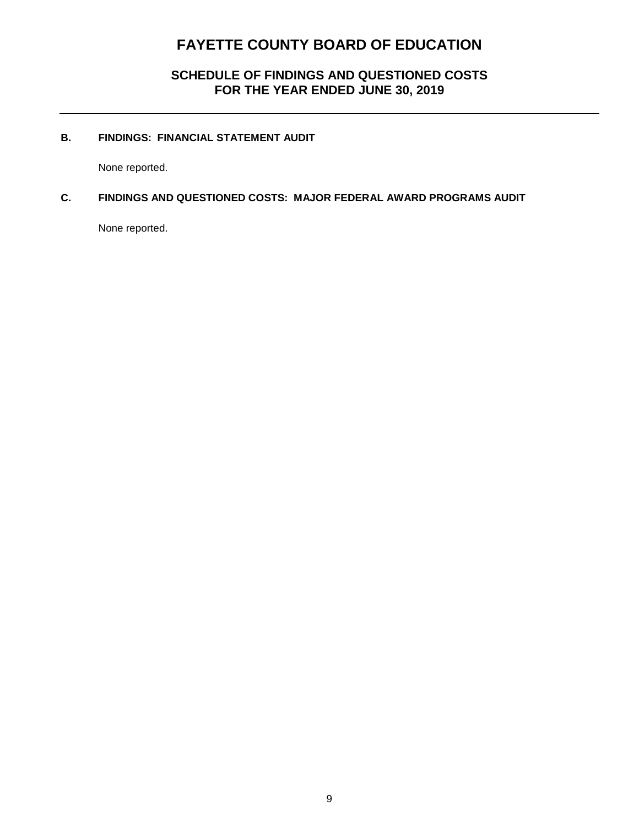## **SCHEDULE OF FINDINGS AND QUESTIONED COSTS FOR THE YEAR ENDED JUNE 30, 2019**

### **B. FINDINGS: FINANCIAL STATEMENT AUDIT**

None reported.

### **C. FINDINGS AND QUESTIONED COSTS: MAJOR FEDERAL AWARD PROGRAMS AUDIT**

None reported.